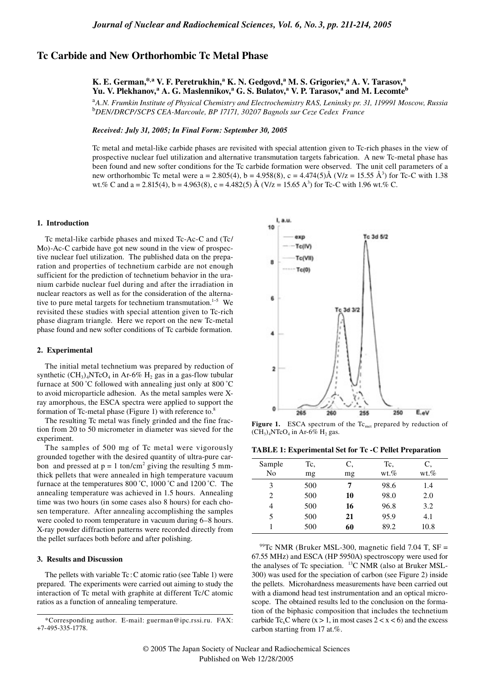# **Tc Carbide and New Orthorhombic Tc Metal Phase**

# **K. E. German,\*,a V. F. Peretrukhin,<sup>a</sup> K. N. Gedgovd,<sup>a</sup> M. S. Grigoriev,<sup>a</sup> A. V. Tarasov,<sup>a</sup> Yu. V. Plekhanov,<sup>a</sup> A. G. Maslennikov,<sup>a</sup> G. S. Bulatov,<sup>a</sup> V. P. Tarasov,<sup>a</sup> and M. Lecomte<sup>b</sup>**

<sup>a</sup>*A.N. Frumkin Institute of Physical Chemistry and Electrochemistry RAS, Leninsky pr. 31, 119991 Moscow, Russia* <sup>b</sup>*DEN/DRCP/SCPS CEA-Marcoule, BP 17171, 30207 Bagnols sur Ceze Cedex France*

*Received: July 31, 2005; In Final Form: September 30, 2005*

Tc metal and metal-like carbide phases are revisited with special attention given to Tc-rich phases in the view of prospective nuclear fuel utilization and alternative transmutation targets fabrication. A new Tc-metal phase has been found and new softer conditions for the Tc carbide formation were observed. The unit cell parameters of a new orthorhombic Tc metal were  $a = 2.805(4)$ ,  $b = 4.958(8)$ ,  $c = 4.474(5)$ Å (V/z = 15.55 Å<sup>3</sup>) for Tc-C with 1.38 wt.% C and a = 2.815(4), b = 4.963(8), c = 4.482(5) Å (V/z = 15.65 A<sup>3</sup>) for Tc-C with 1.96 wt.% C.

#### **1. Introduction**

Tc metal-like carbide phases and mixed Tc-Ac-C and (Tc/ Mo)-Ac-C carbide have got new sound in the view of prospective nuclear fuel utilization. The published data on the preparation and properties of technetium carbide are not enough sufficient for the prediction of technetium behavior in the uranium carbide nuclear fuel during and after the irradiation in nuclear reactors as well as for the consideration of the alternative to pure metal targets for technetium transmutation.<sup>1-5</sup> We revisited these studies with special attention given to Tc-rich phase diagram triangle. Here we report on the new Tc-metal phase found and new softer conditions of Tc carbide formation.

### **2. Experimental**

The initial metal technetium was prepared by reduction of synthetic  $(CH_3)_4$ NTcO<sub>4</sub> in Ar-6%  $H_2$  gas in a gas-flow tubular furnace at 500 °C followed with annealing just only at 800 °C to avoid microparticle adhesion. As the metal samples were Xray amorphous, the ESCA spectra were applied to support the formation of Tc-metal phase (Figure 1) with reference to.<sup>8</sup>

The resulting Tc metal was finely grinded and the fine fraction from 20 to 50 micrometer in diameter was sieved for the experiment.

The samples of 500 mg of Tc metal were vigorously grounded together with the desired quantity of ultra-pure carbon and pressed at  $p = 1$  ton/cm<sup>2</sup> giving the resulting 5 mmthick pellets that were annealed in high temperature vacuum furnace at the temperatures 800 °C, 1000 °C and 1200 °C. The annealing temperature was achieved in 1.5 hours. Annealing time was two hours (in some cases also 8 hours) for each chosen temperature. After annealing accomplishing the samples were cooled to room temperature in vacuum during 6–8 hours. X-ray powder diffraction patterns were recorded directly from the pellet surfaces both before and after polishing.

# **3. Results and Discussion**

The pellets with variable Tc : C atomic ratio (see Table 1) were prepared. The experiments were carried out aiming to study the interaction of Tc metal with graphite at different Tc/C atomic ratios as a function of annealing temperature.



**Figure 1.** ESCA spectrum of the Tc<sub>met</sub> prepared by reduction of  $(\widetilde{\text{CH}}_3)_4$ NTcO<sub>4</sub> in Ar-6% H<sub>2</sub> gas.

| Sample         | Tc, | C, | Tc,     | C,      |
|----------------|-----|----|---------|---------|
| No             | mg  | mg | $wt.\%$ | $wt.\%$ |
| 3              | 500 | 7  | 98.6    | 1.4     |
| $\mathfrak{D}$ | 500 | 10 | 98.0    | 2.0     |
| 4              | 500 | 16 | 96.8    | 3.2     |
| 5              | 500 | 21 | 95.9    | 4.1     |
|                | 500 | 60 | 89.2    | 10.8    |

 $99$ Tc NMR (Bruker MSL-300, magnetic field 7.04 T, SF = 67.55 MHz) and ESCA (HP 5950A) spectroscopy were used for the analyses of Tc speciation. <sup>13</sup>C NMR (also at Bruker MSL-300) was used for the speciation of carbon (see Figure 2) inside the pellets. Microhardness measurements have been carried out with a diamond head test instrumentation and an optical microscope. The obtained results led to the conclusion on the formation of the biphasic composition that includes the technetium carbide Tc<sub>x</sub>C where  $(x > 1$ , in most cases  $2 < x < 6$ ) and the excess carbon starting from 17 at.%.

<sup>\*</sup>Corresponding author. E-mail: guerman@ipc.rssi.ru. FAX: +7-495-335-1778.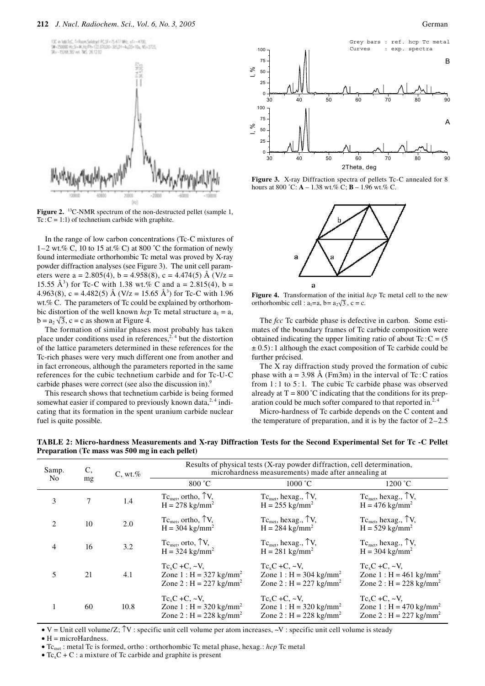

**Figure 2.** <sup>13</sup>C-NMR spectrum of the non-destructed pellet (sample 1,  $Tc$  :  $C = 1:1$ ) of technetium carbide with graphite.

In the range of low carbon concentrations (Tc-C mixtures of 1–2 wt.% C, 10 to 15 at.% C) at 800 °C the formation of newly found intermediate orthorhombic Tc metal was proved by X-ray powder diffraction analyses (see Figure 3). The unit cell parameters were a = 2.805(4), b = 4.958(8), c = 4.474(5) Å (V/z = 15.55 Å<sup>3</sup>) for Tc-C with 1.38 wt.% C and a = 2.815(4), b = 4.963(8), c = 4.482(5) Å (V/z = 15.65 Å<sup>3</sup>) for Tc-C with 1.96 wt.% C. The parameters of Tc could be explained by orthorhombic distortion of the well known *hcp* Tc metal structure  $a_1 = a$ ,  $b = a_2 \sqrt{3}$ , c = c as shown at Figure 4.

The formation of similar phases most probably has taken place under conditions used in references,<sup>2, 4</sup> but the distortion of the lattice parameters determined in these references for the Tc-rich phases were very much different one from another and in fact erroneous, although the parameters reported in the same references for the cubic technetium carbide and for Tc-U-C carbide phases were correct (see also the discussion in).<sup>9</sup>

This research shows that technetium carbide is being formed somewhat easier if compared to previously known data, $2,4$  indicating that its formation in the spent uranium carbide nuclear fuel is quite possible.



Figure 3. X-ray Diffraction spectra of pellets Tc-C annealed for 8 hours at 800 °C:  $A - 1.38$  wt.% C;  $B - 1.96$  wt.% C.



Figure 4. Transformation of the initial *hcp* Tc metal cell to the new orthorhombic cell :  $a_1=a$ ,  $b=a_2\sqrt{3}$ ,  $c=c$ .

The *fcc* Tc carbide phase is defective in carbon. Some estimates of the boundary frames of Tc carbide composition were obtained indicating the upper limiting ratio of about  $Tc$  :  $C = (5$  $\pm$  0.5): 1 although the exact composition of Tc carbide could be further précised.

The X ray diffraction study proved the formation of cubic phase with a = 3.98 Å (Fm3m) in the interval of Tc: C ratios from  $1:1$  to  $5:1$ . The cubic Tc carbide phase was observed already at  $T = 800 \degree C$  indicating that the conditions for its preparation could be much softer compared to that reported in. $2,4$ 

Micro-hardness of Tc carbide depends on the C content and the temperature of preparation, and it is by the factor of  $2-2.5$ 

**TABLE 2: Micro-hardness Measurements and X-ray Diffraction Tests for the Second Experimental Set for Tc -C Pellet Preparation (Tc mass was 500 mg in each pellet)**

| C,<br>Samp.<br>N <sub>0</sub><br>mg |    | C, wt. % | Results of physical tests (X-ray powder diffraction, cell determination,<br>microhardness measurements) made after annealing at |                                                                                                             |                                                                                                           |  |  |  |
|-------------------------------------|----|----------|---------------------------------------------------------------------------------------------------------------------------------|-------------------------------------------------------------------------------------------------------------|-----------------------------------------------------------------------------------------------------------|--|--|--|
|                                     |    | 800 °C   | 1000 °C                                                                                                                         | 1200 °C                                                                                                     |                                                                                                           |  |  |  |
| 3                                   | 7  | 1.4      | $Tc_{\text{met}}$ , ortho, $\uparrow V$ ,<br>$H = 278$ kg/mm <sup>2</sup>                                                       | $Tc_{\text{met}}$ , hexag., $\uparrow$ V,<br>$H = 255$ kg/mm <sup>2</sup>                                   | $Tc_{\text{met}}$ , hexag., $\uparrow$ V,<br>$H = 476$ kg/mm <sup>2</sup>                                 |  |  |  |
| $\mathfrak{D}_{\mathfrak{p}}$       | 10 | 2.0      | $Tc_{\text{met}}$ , ortho, $\uparrow V$ ,<br>$H = 304$ kg/mm <sup>2</sup>                                                       | $Tc_{\text{met}}$ , hexag., $\uparrow$ V,<br>$H = 284$ kg/mm <sup>2</sup>                                   | $Tc_{\text{met}}$ , hexag., $\uparrow$ V,<br>$H = 529$ kg/mm <sup>2</sup>                                 |  |  |  |
| 4                                   | 16 | 3.2      | $Tc_{\text{met}}$ , orto, $\uparrow V$ ,<br>$H = 324$ kg/mm <sup>2</sup>                                                        | $Tc_{met}$ , hexag., $\uparrow$ V,<br>$H = 281 \text{ kg/mm}^2$                                             | $Tc_{\text{met}}$ , hexag., $\uparrow$ V,<br>$H = 304$ kg/mm <sup>2</sup>                                 |  |  |  |
|                                     | 21 | 4.1      | $Tc_xC + C_x \sim V$ ,<br>Zone 1 : $H = 327$ kg/mm <sup>2</sup><br>Zone 2 : $H = 227$ kg/mm <sup>2</sup>                        | $Tc_{v}C + C_{v} \sim V$ .<br>Zone $1: H = 304$ kg/mm <sup>2</sup><br>Zone 2 : $H = 227$ kg/mm <sup>2</sup> | $Tc_{v}C + C_{v} \sim V$<br>Zone 1 : H = 461 kg/mm <sup>2</sup><br>Zone 2 : $H = 228$ kg/mm <sup>2</sup>  |  |  |  |
|                                     | 60 | 10.8     | $Tc_xC + C_x \sim V$ ,<br>Zone $1 : H = 320$ kg/mm <sup>2</sup><br>Zone 2 : $H = 228$ kg/mm <sup>2</sup>                        | $Tc_xC$ +C, $\sim$ V,<br>Zone $1 : H = 320$ kg/mm <sup>2</sup><br>Zone 2 : $H = 228$ kg/mm <sup>2</sup>     | $Tc_xC + C$ , $\sim$ V,<br>Zone 1 : $H = 470$ kg/mm <sup>2</sup><br>Zone 2 : $H = 227$ kg/mm <sup>2</sup> |  |  |  |

• V = Unit cell volume/Z; ↑V : specific unit cell volume per atom increases, ~V : specific unit cell volume is steady

 $\bullet$  H = microHardness.

• Tc<sub>met</sub> : metal Tc is formed, ortho : orthorhombic Tc metal phase, hexag.: *hcp* Tc metal

•  $Tc_xC + C$ : a mixture of Tc carbide and graphite is present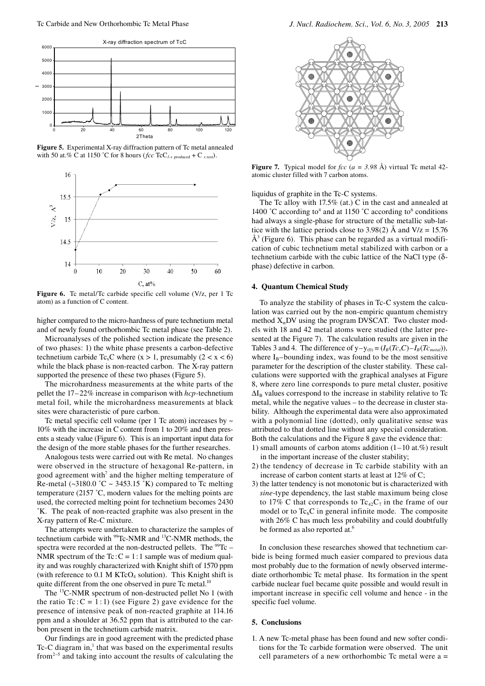

**Figure 5.** Experimental X-ray diffraction pattern of Tc metal annealed with 50 at.% C at 1150 °C for 8 hours (*fcc* TcC<sub>*I-x* produced</sub> + C<sub>*x* rest).</sub>



Figure 6. Tc metal/Tc carbide specific cell volume (V/z, per 1 Tc atom) as a function of C content.

higher compared to the micro-hardness of pure technetium metal and of newly found orthorhombic Tc metal phase (see Table 2).

Microanalyses of the polished section indicate the presence of two phases: 1) the white phase presents a carbon-defective technetium carbide Tc<sub>x</sub>C where (x > 1, presumably (2 < x < 6) while the black phase is non-reacted carbon. The X-ray pattern supported the presence of these two phases (Figure 5).

The microhardness measurements at the white parts of the pellet the 17–22% increase in comparison with *hcp-*technetium metal foil, while the microhardness measurements at black sites were characteristic of pure carbon.

Tc metal specific cell volume (per 1 Tc atom) increases by  $\sim$ 10% with the increase in C content from 1 to 20% and then presents a steady value (Figure 6). This is an important input data for the design of the more stable phases for the further researches.

Analogous tests were carried out with Re metal. No changes were observed in the structure of hexagonal Re-pattern, in good agreement with<sup>7</sup> and the higher melting temperature of Re-metal ( $\sim$ 3180.0 °C  $\sim$  3453.15 °K) compared to Tc melting temperature (2157 ˚C, modern values for the melting points are used, the corrected melting point for technetium becomes 2430 ˚K. The peak of non-reacted graphite was also present in the X-ray pattern of Re-C mixture.

The attempts were undertaken to characterize the samples of technetium carbide with <sup>99</sup>Tc-NMR and <sup>13</sup>C-NMR methods, the spectra were recorded at the non-destructed pellets. The <sup>99</sup>Tc – NMR spectrum of the Tc:  $C = 1:1$  sample was of medium quality and was roughly characterized with Knight shift of 1570 ppm (with reference to  $0.1$  M KTcO<sub>4</sub> solution). This Knight shift is quite different from the one observed in pure Tc metal.<sup>10</sup>

The 13C-NMR spectrum of non-destructed pellet No 1 (with the ratio Tc:  $C = 1:1$ ) (see Figure 2) gave evidence for the presence of intensive peak of non-reacted graphite at 114.16 ppm and a shoulder at 36.52 ppm that is attributed to the carbon present in the technetium carbide matrix.

Our findings are in good agreement with the predicted phase Tc-C diagram in, $<sup>1</sup>$  that was based on the experimental results</sup> from<sup>2−5</sup> and taking into account the results of calculating the



**Figure 7.** Typical model for *fcc*  $(a = 3.98 \text{ Å})$  virtual Tc metal 42atomic cluster filled with 7 carbon atoms.

liquidus of graphite in the Tc-C systems.

The Tc alloy with 17.5% (at.) C in the cast and annealed at 1400 °C according to<sup>4</sup> and at 1150 °C according to<sup>6</sup> conditions had always a single-phase for structure of the metallic sub-lattice with the lattice periods close to 3.98(2)  $\AA$  and  $V/z = 15.76$  $\AA^3$  (Figure 6). This phase can be regarded as a virtual modification of cubic technetium metal stabilized with carbon or a technetium carbide with the cubic lattice of the NaCl type (δphase) defective in carbon.

#### **4. Quantum Chemical Study**

To analyze the stability of phases in Tc-C system the calculation was carried out by the non-empiric quantum chemistry method  $X_{\alpha}$ DV using the program DVSCAT. Two cluster models with 18 and 42 metal atoms were studied (the latter presented at the Figure 7). The calculation results are given in the Tables 3 and 4. The difference of  $y-y_{(0)} = (I_B(T_{c_x}C) - I_B(T_{c_{metal}}))$ , where  $I_B$ –bounding index, was found to be the most sensitive parameter for the description of the cluster stability. These calculations were supported with the graphical analyses at Figure 8, where zero line corresponds to pure metal cluster, positive  $\Delta I_B$  values correspond to the increase in stability relative to Tc metal, while the negative values – to the decrease in cluster stability. Although the experimental data were also approximated with a polynomial line (dotted), only qualitative sense was attributed to that dotted line without any special consideration. Both the calculations and the Figure 8 gave the evidence that:

- 1) small amounts of carbon atoms addition  $(1-10 \text{ at.}\%)$  result in the important increase of the cluster stability;
- 2) the tendency of decrease in Tc carbide stability with an increase of carbon content starts at least at 12% of C;
- 3) the latter tendency is not monotonic but is characterized with *sine*-type dependency, the last stable maximum being close to 17% C that corresponds to  $Tc_{42}C_7$  in the frame of our model or to  $Tc_6C$  in general infinite mode. The composite with 26% C has much less probability and could doubtfully be formed as also reported at.<sup>6</sup>

In conclusion these researches showed that technetium carbide is being formed much easier compared to previous data most probably due to the formation of newly observed intermediate orthorhombic Tc metal phase. Its formation in the spent carbide nuclear fuel became quite possible and would result in important increase in specific cell volume and hence - in the specific fuel volume.

## **5. Conclusions**

1. A new Tc-metal phase has been found and new softer conditions for the Tc carbide formation were observed. The unit cell parameters of a new orthorhombic Tc metal were a =